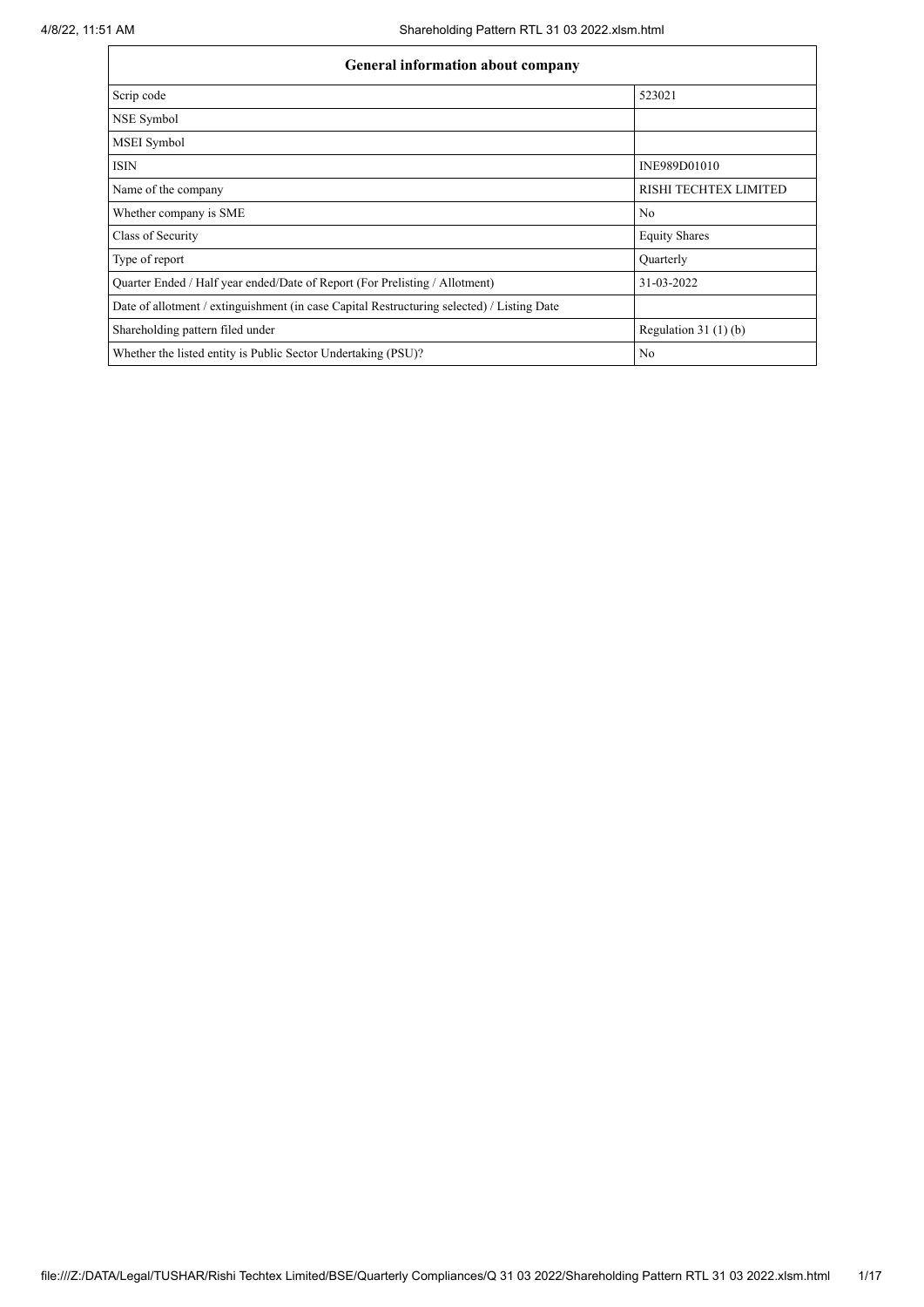| General information about company                                                          |                       |  |  |  |  |  |  |  |
|--------------------------------------------------------------------------------------------|-----------------------|--|--|--|--|--|--|--|
| Scrip code                                                                                 | 523021                |  |  |  |  |  |  |  |
| NSE Symbol                                                                                 |                       |  |  |  |  |  |  |  |
| MSEI Symbol                                                                                |                       |  |  |  |  |  |  |  |
| <b>ISIN</b>                                                                                | INE989D01010          |  |  |  |  |  |  |  |
| Name of the company                                                                        | RISHI TECHTEX LIMITED |  |  |  |  |  |  |  |
| Whether company is SME                                                                     | N <sub>o</sub>        |  |  |  |  |  |  |  |
| Class of Security                                                                          | <b>Equity Shares</b>  |  |  |  |  |  |  |  |
| Type of report                                                                             | Quarterly             |  |  |  |  |  |  |  |
| Quarter Ended / Half year ended/Date of Report (For Prelisting / Allotment)                | 31-03-2022            |  |  |  |  |  |  |  |
| Date of allotment / extinguishment (in case Capital Restructuring selected) / Listing Date |                       |  |  |  |  |  |  |  |
| Shareholding pattern filed under                                                           | Regulation $31(1)(b)$ |  |  |  |  |  |  |  |
| Whether the listed entity is Public Sector Undertaking (PSU)?                              | N <sub>0</sub>        |  |  |  |  |  |  |  |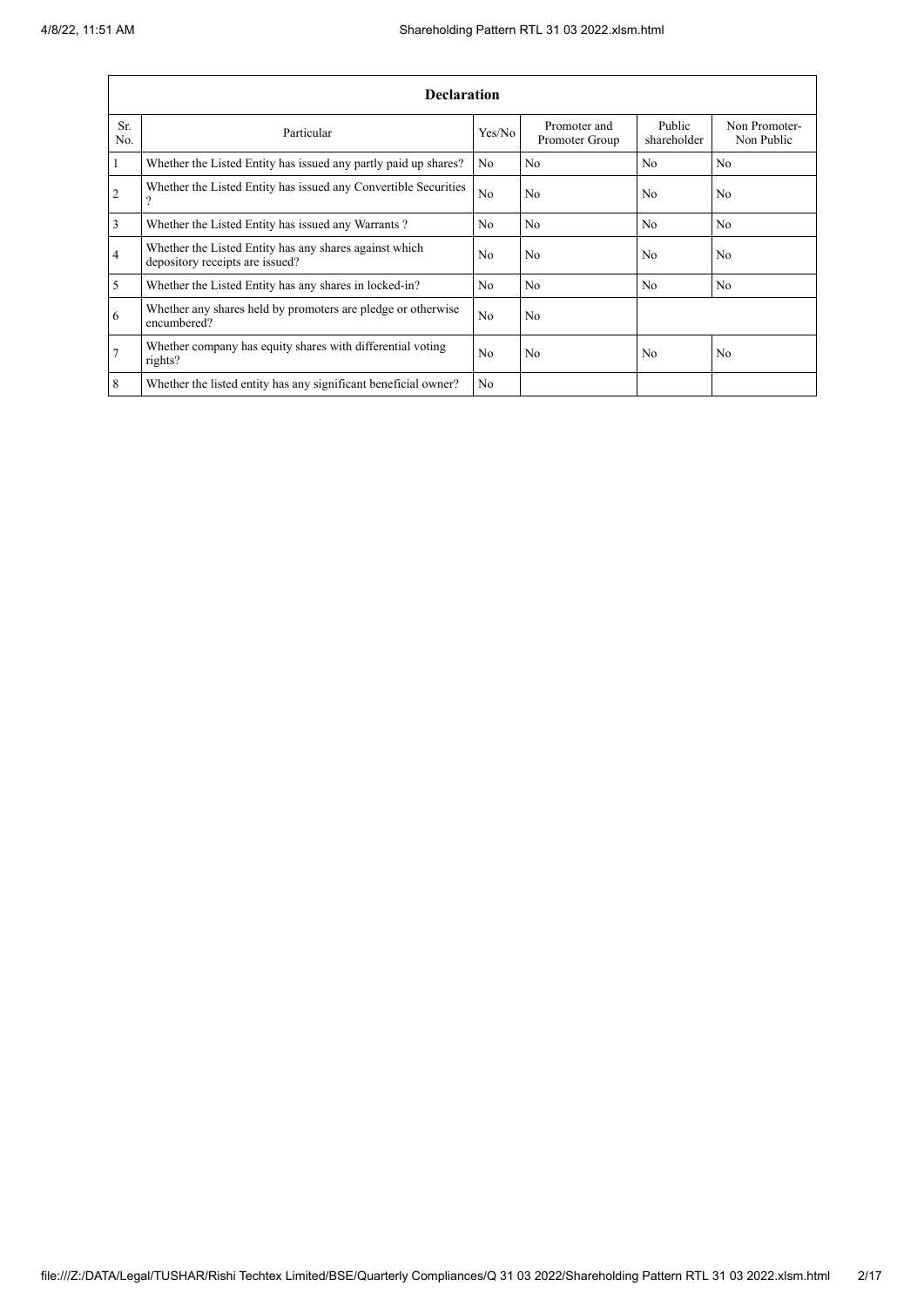|                | <b>Declaration</b>                                                                        |                |                                |                       |                             |  |  |  |  |  |
|----------------|-------------------------------------------------------------------------------------------|----------------|--------------------------------|-----------------------|-----------------------------|--|--|--|--|--|
| Sr.<br>No.     | Particular                                                                                | Yes/No         | Promoter and<br>Promoter Group | Public<br>shareholder | Non Promoter-<br>Non Public |  |  |  |  |  |
| 1              | Whether the Listed Entity has issued any partly paid up shares?                           | N <sub>0</sub> | N <sub>o</sub>                 | N <sub>o</sub>        | N <sub>0</sub>              |  |  |  |  |  |
| $\overline{2}$ | Whether the Listed Entity has issued any Convertible Securities<br>$\Omega$               | N <sub>o</sub> | No                             | N <sub>0</sub>        | N <sub>0</sub>              |  |  |  |  |  |
| $\mathfrak{Z}$ | Whether the Listed Entity has issued any Warrants?                                        | N <sub>0</sub> | N <sub>o</sub>                 | N <sub>o</sub>        | No.                         |  |  |  |  |  |
| $\overline{4}$ | Whether the Listed Entity has any shares against which<br>depository receipts are issued? | N <sub>0</sub> | N <sub>o</sub>                 | N <sub>0</sub>        | N <sub>o</sub>              |  |  |  |  |  |
| 5              | Whether the Listed Entity has any shares in locked-in?                                    | N <sub>o</sub> | No                             | No                    | No                          |  |  |  |  |  |
| 6              | Whether any shares held by promoters are pledge or otherwise<br>encumbered?               | N <sub>o</sub> | N <sub>o</sub>                 |                       |                             |  |  |  |  |  |
| 17             | Whether company has equity shares with differential voting<br>rights?                     | N <sub>0</sub> | N <sub>0</sub>                 | N <sub>0</sub>        | N <sub>0</sub>              |  |  |  |  |  |
| 8              | Whether the listed entity has any significant beneficial owner?                           | N <sub>0</sub> |                                |                       |                             |  |  |  |  |  |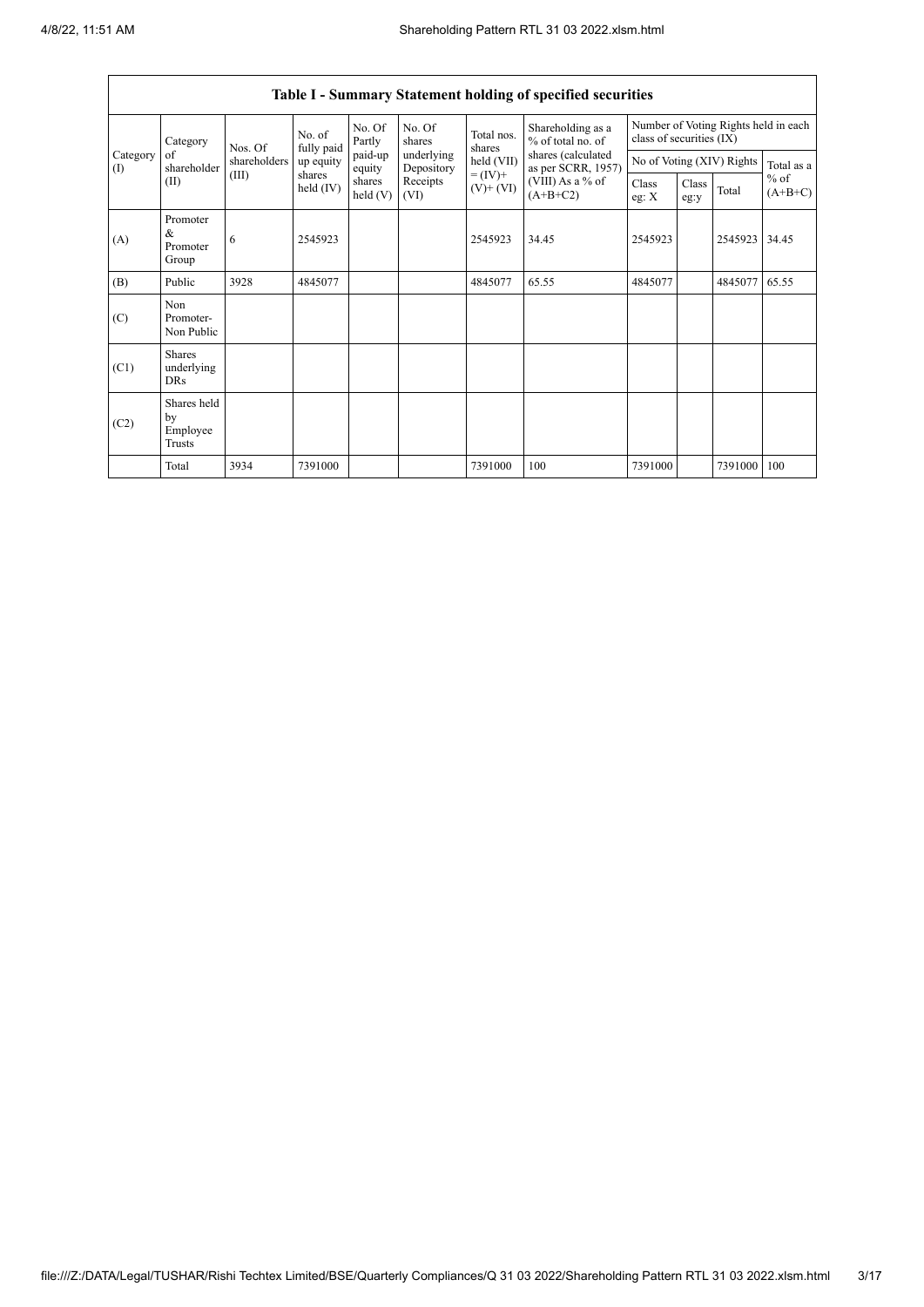$\overline{1}$ 

 $\overline{\mathsf{I}}$ 

|                                                      | <b>Table I - Summary Statement holding of specified securities</b> |              |                       |                      |                          |                              |                                          |                                                                  |               |                           |                     |
|------------------------------------------------------|--------------------------------------------------------------------|--------------|-----------------------|----------------------|--------------------------|------------------------------|------------------------------------------|------------------------------------------------------------------|---------------|---------------------------|---------------------|
| Category<br>of<br>$\left( \mathrm{I}\right)$<br>(II) | Category                                                           | Nos. Of      | No. of<br>fully paid  | No. Of<br>Partly     | No. Of<br>shares         | Total nos.<br>shares         | Shareholding as a<br>% of total no. of   | Number of Voting Rights held in each<br>class of securities (IX) |               |                           |                     |
|                                                      | shareholder                                                        | shareholders | up equity             | paid-up<br>equity    | underlying<br>Depository | held (VII)                   | shares (calculated<br>as per SCRR, 1957) |                                                                  |               | No of Voting (XIV) Rights | Total as a          |
|                                                      |                                                                    | (III)        | shares<br>held $(IV)$ | shares<br>held $(V)$ | Receipts<br>(VI)         | $= (IV) +$<br>$(V)$ + $(VI)$ | (VIII) As a % of<br>$(A+B+C2)$           | Class<br>eg: X                                                   | Class<br>eg:y | Total                     | $%$ of<br>$(A+B+C)$ |
| (A)                                                  | Promoter<br>&<br>Promoter<br>Group                                 | 6            | 2545923               |                      |                          | 2545923                      | 34.45                                    | 2545923                                                          |               | 2545923                   | 34.45               |
| (B)                                                  | Public                                                             | 3928         | 4845077               |                      |                          | 4845077                      | 65.55                                    | 4845077                                                          |               | 4845077                   | 65.55               |
| (C)                                                  | Non<br>Promoter-<br>Non Public                                     |              |                       |                      |                          |                              |                                          |                                                                  |               |                           |                     |
| (C1)                                                 | <b>Shares</b><br>underlying<br><b>DRs</b>                          |              |                       |                      |                          |                              |                                          |                                                                  |               |                           |                     |
| (C2)                                                 | Shares held<br>by<br>Employee<br>Trusts                            |              |                       |                      |                          |                              |                                          |                                                                  |               |                           |                     |
|                                                      | Total                                                              | 3934         | 7391000               |                      |                          | 7391000                      | 100                                      | 7391000                                                          |               | 7391000                   | 100                 |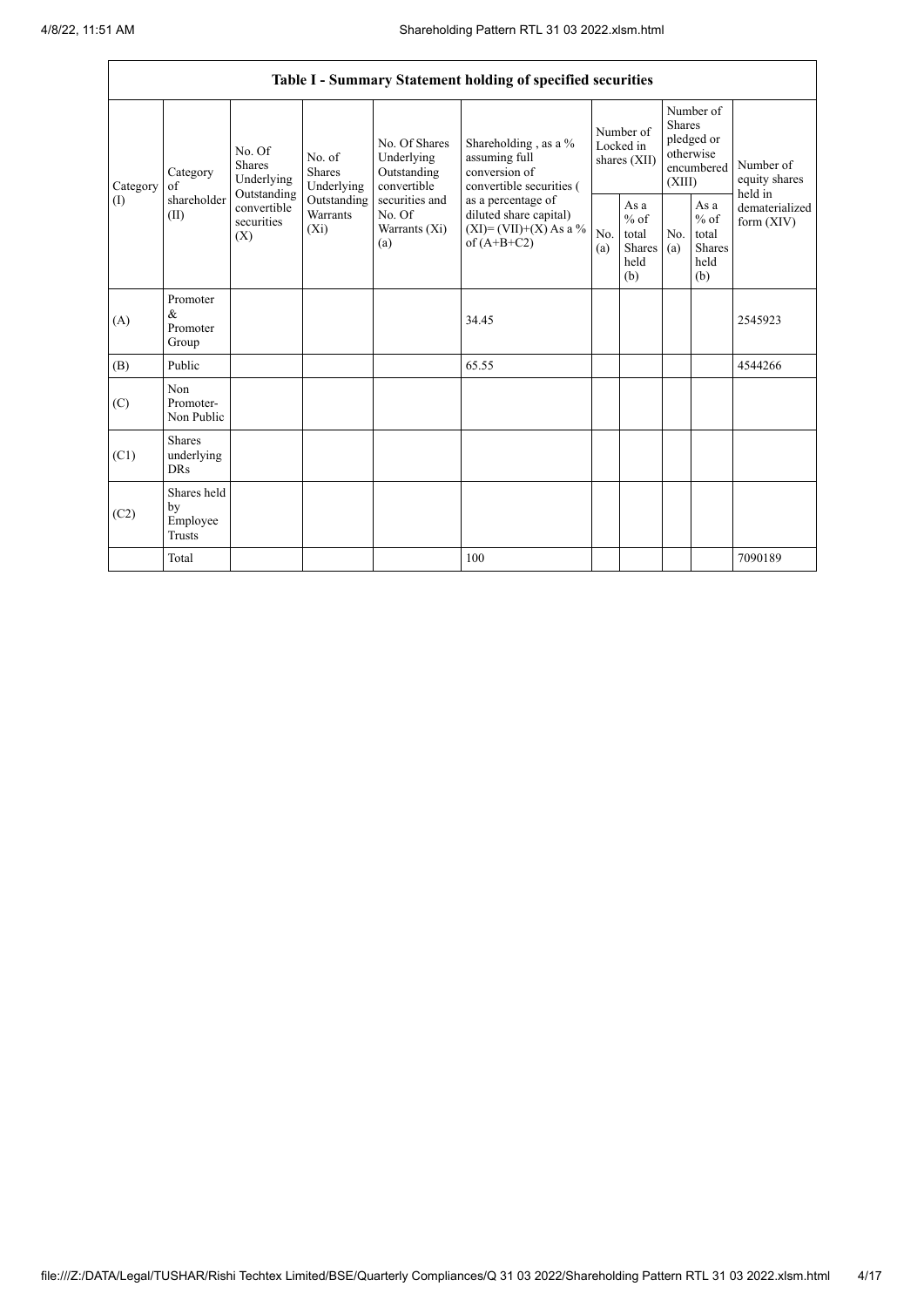|                   | Table I - Summary Statement holding of specified securities |                                                                                                     |                                       |                                                                                                                  |                                                                                                                                                                                  |                                        |                                                  |                                                                               |                                                         |                                       |
|-------------------|-------------------------------------------------------------|-----------------------------------------------------------------------------------------------------|---------------------------------------|------------------------------------------------------------------------------------------------------------------|----------------------------------------------------------------------------------------------------------------------------------------------------------------------------------|----------------------------------------|--------------------------------------------------|-------------------------------------------------------------------------------|---------------------------------------------------------|---------------------------------------|
| Category<br>$($ I | Category<br>of<br>shareholder<br>(II)                       | No. Of<br><b>Shares</b><br>Underlying<br>Outstanding<br>convertible<br>securities<br>$(X_i)$<br>(X) | No. of<br><b>Shares</b><br>Underlying | No. Of Shares<br>Underlying<br>Outstanding<br>convertible<br>securities and<br>No. Of<br>Warrants $(X_i)$<br>(a) | Shareholding, as a %<br>assuming full<br>conversion of<br>convertible securities (<br>as a percentage of<br>diluted share capital)<br>$(XI) = (VII)+(X) As a %$<br>of $(A+B+C2)$ | Number of<br>Locked in<br>shares (XII) |                                                  | Number of<br><b>Shares</b><br>pledged or<br>otherwise<br>encumbered<br>(XIII) |                                                         | Number of<br>equity shares<br>held in |
|                   |                                                             |                                                                                                     | Outstanding<br>Warrants               |                                                                                                                  |                                                                                                                                                                                  | No.<br>(a)                             | As a<br>$%$ of<br>total<br>Shares<br>held<br>(b) | No.<br>(a)                                                                    | As a<br>$%$ of<br>total<br><b>Shares</b><br>held<br>(b) | dematerialized<br>form $(XIV)$        |
| (A)               | Promoter<br>$\&$<br>Promoter<br>Group                       |                                                                                                     |                                       |                                                                                                                  | 34.45                                                                                                                                                                            |                                        |                                                  |                                                                               |                                                         | 2545923                               |
| (B)               | Public                                                      |                                                                                                     |                                       |                                                                                                                  | 65.55                                                                                                                                                                            |                                        |                                                  |                                                                               |                                                         | 4544266                               |
| (C)               | Non<br>Promoter-<br>Non Public                              |                                                                                                     |                                       |                                                                                                                  |                                                                                                                                                                                  |                                        |                                                  |                                                                               |                                                         |                                       |
| (C1)              | <b>Shares</b><br>underlying<br><b>DRs</b>                   |                                                                                                     |                                       |                                                                                                                  |                                                                                                                                                                                  |                                        |                                                  |                                                                               |                                                         |                                       |
| (C2)              | Shares held<br>by<br>Employee<br><b>Trusts</b>              |                                                                                                     |                                       |                                                                                                                  |                                                                                                                                                                                  |                                        |                                                  |                                                                               |                                                         |                                       |
|                   | Total                                                       |                                                                                                     |                                       |                                                                                                                  | 100                                                                                                                                                                              |                                        |                                                  |                                                                               |                                                         | 7090189                               |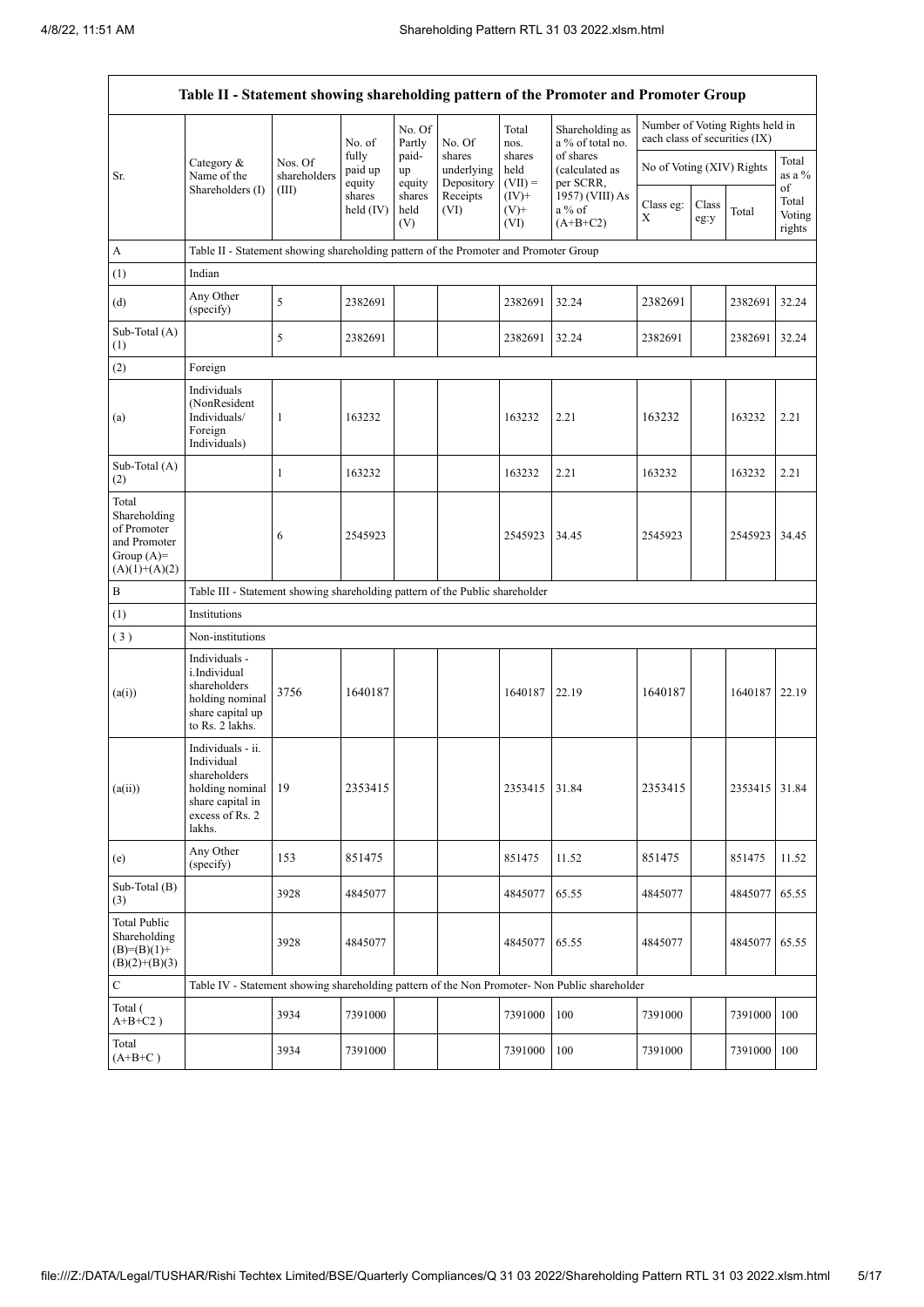| Table II - Statement showing shareholding pattern of the Promoter and Promoter Group    |                                                                                                                     |                                                                              |                            |                       |                                    |                             |                                                                                               |                               |               |                                 |                           |
|-----------------------------------------------------------------------------------------|---------------------------------------------------------------------------------------------------------------------|------------------------------------------------------------------------------|----------------------------|-----------------------|------------------------------------|-----------------------------|-----------------------------------------------------------------------------------------------|-------------------------------|---------------|---------------------------------|---------------------------|
|                                                                                         |                                                                                                                     |                                                                              | No. of                     | No. Of<br>Partly      | No. Of                             | Total<br>nos.               | Shareholding as<br>a % of total no.                                                           | each class of securities (IX) |               | Number of Voting Rights held in |                           |
| Sr.                                                                                     | Category &<br>Name of the                                                                                           | Nos. Of<br>shareholders                                                      | fully<br>paid up<br>equity | paid-<br>up<br>equity | shares<br>underlying<br>Depository | shares<br>held<br>$(VII) =$ | of shares<br>(calculated as<br>per SCRR,                                                      | No of Voting (XIV) Rights     |               |                                 | Total<br>as a %<br>of     |
|                                                                                         | Shareholders (I)                                                                                                    | (III)                                                                        | shares<br>held $(IV)$      | shares<br>held<br>(V) | Receipts<br>(VI)                   | $(IV)+$<br>$(V)$ +<br>(VI)  | 1957) (VIII) As<br>a % of<br>$(A+B+C2)$                                                       | Class eg:<br>X                | Class<br>eg:y | Total                           | Total<br>Voting<br>rights |
| A                                                                                       | Table II - Statement showing shareholding pattern of the Promoter and Promoter Group                                |                                                                              |                            |                       |                                    |                             |                                                                                               |                               |               |                                 |                           |
| (1)                                                                                     | Indian                                                                                                              |                                                                              |                            |                       |                                    |                             |                                                                                               |                               |               |                                 |                           |
| (d)                                                                                     | Any Other<br>(specify)                                                                                              | 5                                                                            | 2382691                    |                       |                                    | 2382691                     | 32.24                                                                                         | 2382691                       |               | 2382691                         | 32.24                     |
| Sub-Total (A)<br>(1)                                                                    |                                                                                                                     | 5                                                                            | 2382691                    |                       |                                    | 2382691                     | 32.24                                                                                         | 2382691                       |               | 2382691                         | 32.24                     |
| (2)                                                                                     | Foreign                                                                                                             |                                                                              |                            |                       |                                    |                             |                                                                                               |                               |               |                                 |                           |
| (a)                                                                                     | Individuals<br>(NonResident<br>Individuals/<br>Foreign<br>Individuals)                                              | 1                                                                            | 163232                     |                       |                                    | 163232                      | 2.21                                                                                          | 163232                        |               | 163232                          | 2.21                      |
| Sub-Total (A)<br>(2)                                                                    |                                                                                                                     | $\mathbf{1}$                                                                 | 163232                     |                       |                                    | 163232                      | 2.21                                                                                          | 163232                        |               | 163232                          | 2.21                      |
| Total<br>Shareholding<br>of Promoter<br>and Promoter<br>Group $(A)=$<br>$(A)(1)+(A)(2)$ |                                                                                                                     | 6                                                                            | 2545923                    |                       |                                    | 2545923                     | 34.45                                                                                         | 2545923                       |               | 2545923 34.45                   |                           |
| $\, {\bf B}$                                                                            |                                                                                                                     | Table III - Statement showing shareholding pattern of the Public shareholder |                            |                       |                                    |                             |                                                                                               |                               |               |                                 |                           |
| (1)                                                                                     | Institutions                                                                                                        |                                                                              |                            |                       |                                    |                             |                                                                                               |                               |               |                                 |                           |
| (3)                                                                                     | Non-institutions                                                                                                    |                                                                              |                            |                       |                                    |                             |                                                                                               |                               |               |                                 |                           |
| (a(i))                                                                                  | Individuals -<br>i.Individual<br>shareholders<br>holding nominal<br>share capital up<br>to Rs. 2 lakhs.             | 3756                                                                         | 1640187                    |                       |                                    | 1640187                     | 22.19                                                                                         | 1640187                       |               | 1640187 22.19                   |                           |
| (a(ii))                                                                                 | Individuals - ii.<br>Individual<br>shareholders<br>holding nominal<br>share capital in<br>excess of Rs. 2<br>lakhs. | 19                                                                           | 2353415                    |                       |                                    | 2353415                     | 31.84                                                                                         | 2353415                       |               | 2353415                         | 31.84                     |
| (e)                                                                                     | Any Other<br>(specify)                                                                                              | 153                                                                          | 851475                     |                       |                                    | 851475                      | 11.52                                                                                         | 851475                        |               | 851475                          | 11.52                     |
| Sub-Total (B)<br>(3)                                                                    |                                                                                                                     | 3928                                                                         | 4845077                    |                       |                                    | 4845077                     | 65.55                                                                                         | 4845077                       |               | 4845077                         | 65.55                     |
| <b>Total Public</b><br>Shareholding<br>$(B)=(B)(1)+$<br>$(B)(2)+(B)(3)$                 |                                                                                                                     | 3928                                                                         | 4845077                    |                       |                                    | 4845077                     | 65.55                                                                                         | 4845077                       |               | 4845077                         | 65.55                     |
| $\mathbf C$                                                                             |                                                                                                                     |                                                                              |                            |                       |                                    |                             | Table IV - Statement showing shareholding pattern of the Non Promoter- Non Public shareholder |                               |               |                                 |                           |
| Total (<br>$A+B+C2$ )                                                                   |                                                                                                                     | 3934                                                                         | 7391000                    |                       |                                    | 7391000                     | 100                                                                                           | 7391000                       |               | 7391000                         | 100                       |
| Total<br>$(A+B+C)$                                                                      |                                                                                                                     | 3934                                                                         | 7391000                    |                       |                                    | 7391000                     | 100                                                                                           | 7391000                       |               | 7391000                         | 100                       |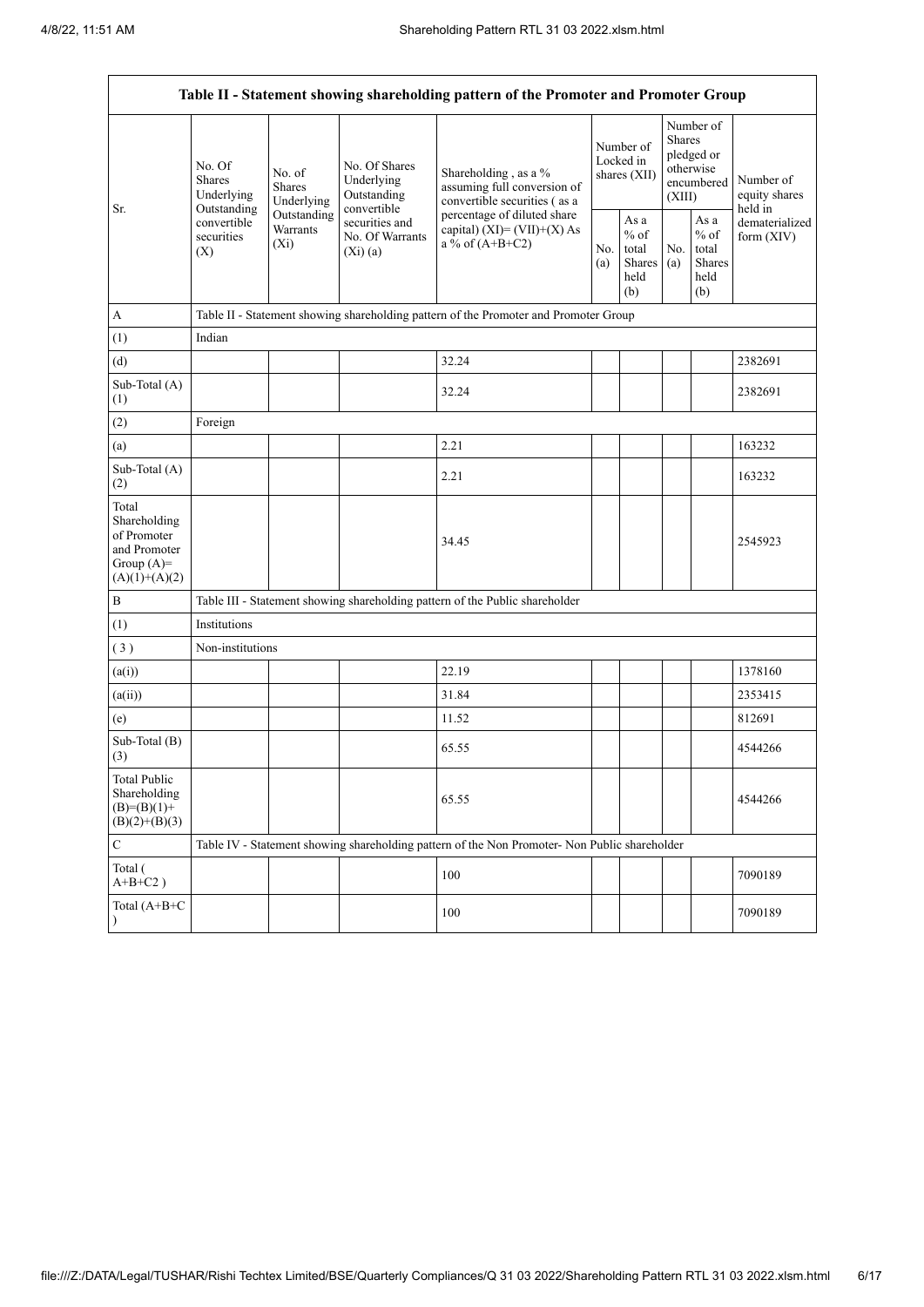| Table II - Statement showing shareholding pattern of the Promoter and Promoter Group    |                                                                                          |                                                                             |                                                                                                           |                                                                                                                                                                           |  |                                                  |            |                                                                        |                                       |
|-----------------------------------------------------------------------------------------|------------------------------------------------------------------------------------------|-----------------------------------------------------------------------------|-----------------------------------------------------------------------------------------------------------|---------------------------------------------------------------------------------------------------------------------------------------------------------------------------|--|--------------------------------------------------|------------|------------------------------------------------------------------------|---------------------------------------|
| Sr.                                                                                     | No. Of<br><b>Shares</b><br>Underlying<br>Outstanding<br>convertible<br>securities<br>(X) | No. of<br><b>Shares</b><br>Underlying<br>Outstanding<br>Warrants<br>$(X_i)$ | No. Of Shares<br>Underlying<br>Outstanding<br>convertible<br>securities and<br>No. Of Warrants<br>(Xi)(a) | Shareholding, as a %<br>assuming full conversion of<br>convertible securities (as a<br>percentage of diluted share<br>capital) $(XI) = (VII)+(X) As$<br>a % of $(A+B+C2)$ |  | Number of<br>Locked in<br>shares (XII)           |            | Number of<br>Shares<br>pledged or<br>otherwise<br>encumbered<br>(XIII) | Number of<br>equity shares<br>held in |
|                                                                                         |                                                                                          |                                                                             |                                                                                                           |                                                                                                                                                                           |  | As a<br>$%$ of<br>total<br>Shares<br>held<br>(b) | No.<br>(a) | As a<br>$\%$ of<br>total<br><b>Shares</b><br>held<br>(b)               | dematerialized<br>form $(XIV)$        |
| $\mathbf A$                                                                             |                                                                                          |                                                                             |                                                                                                           | Table II - Statement showing shareholding pattern of the Promoter and Promoter Group                                                                                      |  |                                                  |            |                                                                        |                                       |
| (1)                                                                                     | Indian                                                                                   |                                                                             |                                                                                                           |                                                                                                                                                                           |  |                                                  |            |                                                                        |                                       |
| (d)                                                                                     |                                                                                          |                                                                             |                                                                                                           | 32.24                                                                                                                                                                     |  |                                                  |            |                                                                        | 2382691                               |
| Sub-Total (A)<br>(1)                                                                    |                                                                                          |                                                                             |                                                                                                           | 32.24                                                                                                                                                                     |  |                                                  |            |                                                                        | 2382691                               |
| (2)                                                                                     | Foreign                                                                                  |                                                                             |                                                                                                           |                                                                                                                                                                           |  |                                                  |            |                                                                        |                                       |
| (a)                                                                                     |                                                                                          |                                                                             |                                                                                                           | 2.21                                                                                                                                                                      |  |                                                  |            |                                                                        | 163232                                |
| Sub-Total (A)<br>(2)                                                                    |                                                                                          |                                                                             |                                                                                                           | 2.21                                                                                                                                                                      |  |                                                  |            |                                                                        | 163232                                |
| Total<br>Shareholding<br>of Promoter<br>and Promoter<br>Group $(A)=$<br>$(A)(1)+(A)(2)$ |                                                                                          |                                                                             |                                                                                                           | 34.45                                                                                                                                                                     |  |                                                  |            |                                                                        | 2545923                               |
| $\, {\bf B}$                                                                            |                                                                                          |                                                                             |                                                                                                           | Table III - Statement showing shareholding pattern of the Public shareholder                                                                                              |  |                                                  |            |                                                                        |                                       |
| (1)                                                                                     | Institutions                                                                             |                                                                             |                                                                                                           |                                                                                                                                                                           |  |                                                  |            |                                                                        |                                       |
| (3)                                                                                     | Non-institutions                                                                         |                                                                             |                                                                                                           |                                                                                                                                                                           |  |                                                  |            |                                                                        |                                       |
| (a(i))                                                                                  |                                                                                          |                                                                             |                                                                                                           | 22.19                                                                                                                                                                     |  |                                                  |            |                                                                        | 1378160                               |
| (a(ii))                                                                                 |                                                                                          |                                                                             |                                                                                                           | 31.84                                                                                                                                                                     |  |                                                  |            |                                                                        | 2353415                               |
| (e)                                                                                     |                                                                                          |                                                                             |                                                                                                           | 11.52                                                                                                                                                                     |  |                                                  |            |                                                                        | 812691                                |
| Sub-Total (B)<br>(3)                                                                    |                                                                                          |                                                                             |                                                                                                           | 65.55                                                                                                                                                                     |  |                                                  |            |                                                                        | 4544266                               |
| <b>Total Public</b><br>Shareholding<br>$(B)=(B)(1)+$<br>$(B)(2)+(B)(3)$                 |                                                                                          |                                                                             |                                                                                                           | 65.55                                                                                                                                                                     |  |                                                  |            |                                                                        | 4544266                               |
| $\mathbf C$                                                                             |                                                                                          |                                                                             |                                                                                                           | Table IV - Statement showing shareholding pattern of the Non Promoter- Non Public shareholder                                                                             |  |                                                  |            |                                                                        |                                       |
| Total (<br>$A+B+C2$ )                                                                   |                                                                                          |                                                                             |                                                                                                           | 100                                                                                                                                                                       |  |                                                  |            |                                                                        | 7090189                               |
| Total (A+B+C                                                                            |                                                                                          |                                                                             |                                                                                                           | 100                                                                                                                                                                       |  |                                                  |            |                                                                        | 7090189                               |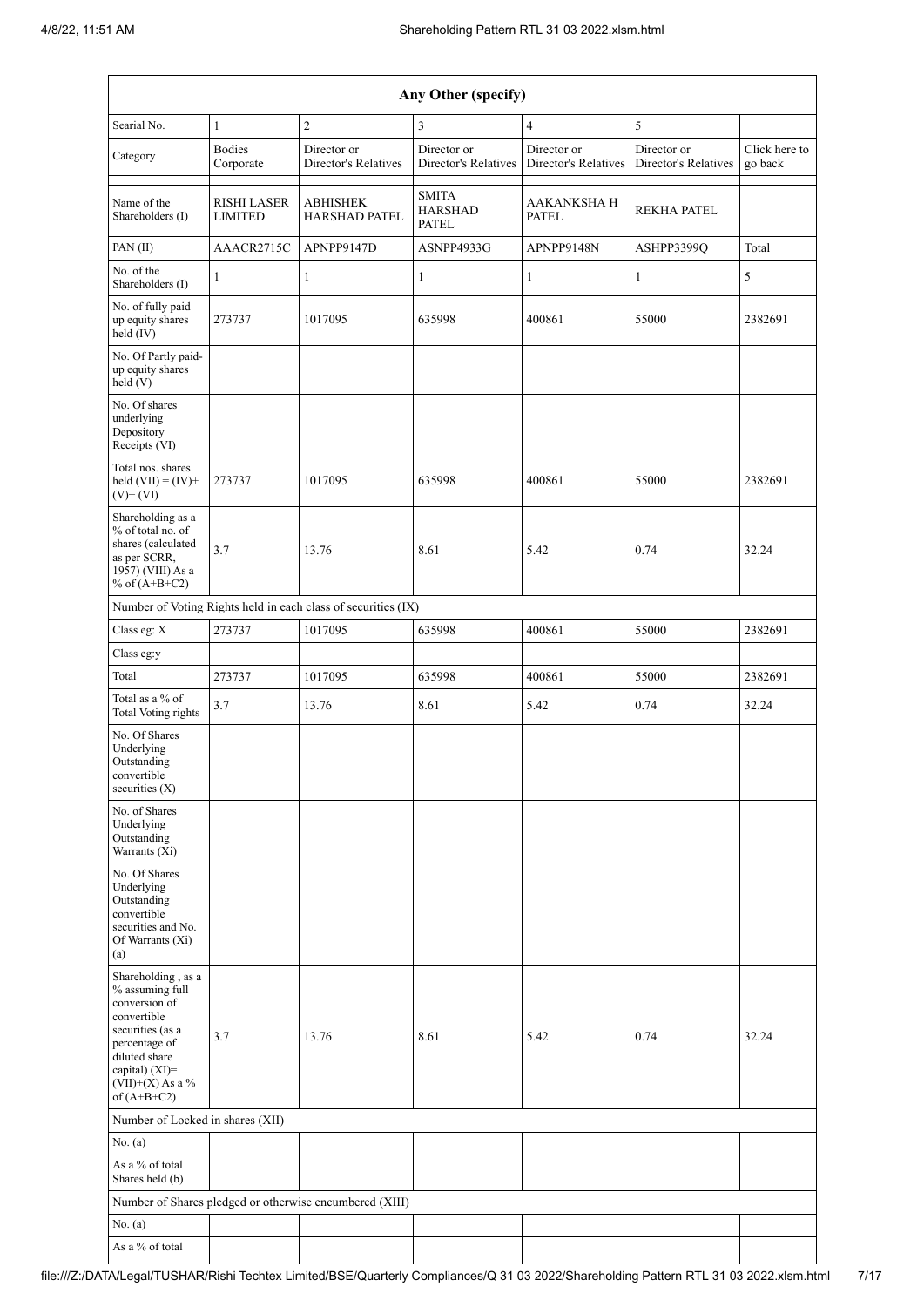| Any Other (specify)                                                                                                                                                                  |                                      |                                                               |                                                |                                     |                                     |                          |  |  |  |
|--------------------------------------------------------------------------------------------------------------------------------------------------------------------------------------|--------------------------------------|---------------------------------------------------------------|------------------------------------------------|-------------------------------------|-------------------------------------|--------------------------|--|--|--|
| Searial No.                                                                                                                                                                          | $\mathbf{1}$                         | $\overline{c}$                                                | 3                                              | $\overline{4}$                      | 5                                   |                          |  |  |  |
| Category                                                                                                                                                                             | <b>Bodies</b><br>Corporate           | Director or<br>Director's Relatives                           | Director or<br>Director's Relatives            | Director or<br>Director's Relatives | Director or<br>Director's Relatives | Click here to<br>go back |  |  |  |
| Name of the<br>Shareholders (I)                                                                                                                                                      | <b>RISHI LASER</b><br><b>LIMITED</b> | <b>ABHISHEK</b><br><b>HARSHAD PATEL</b>                       | <b>SMITA</b><br><b>HARSHAD</b><br><b>PATEL</b> | <b>AAKANKSHA H</b><br><b>PATEL</b>  | <b>REKHA PATEL</b>                  |                          |  |  |  |
| PAN $(II)$                                                                                                                                                                           | AAACR2715C                           | APNPP9147D                                                    | ASNPP4933G                                     | APNPP9148N                          | ASHPP3399Q                          | Total                    |  |  |  |
| No. of the<br>Shareholders (I)                                                                                                                                                       | $\mathbf{1}$                         | $\mathbf{1}$                                                  | $\mathbf{1}$                                   | $\mathbf{1}$                        | 1                                   | 5                        |  |  |  |
| No. of fully paid<br>up equity shares<br>held (IV)                                                                                                                                   | 273737                               | 1017095                                                       | 635998                                         | 400861                              | 55000                               | 2382691                  |  |  |  |
| No. Of Partly paid-<br>up equity shares<br>held (V)                                                                                                                                  |                                      |                                                               |                                                |                                     |                                     |                          |  |  |  |
| No. Of shares<br>underlying<br>Depository<br>Receipts (VI)                                                                                                                           |                                      |                                                               |                                                |                                     |                                     |                          |  |  |  |
| Total nos. shares<br>held $(VII) = (IV) +$<br>$(V)$ + $(VI)$                                                                                                                         | 273737                               | 1017095                                                       | 635998                                         | 400861                              | 55000                               | 2382691                  |  |  |  |
| Shareholding as a<br>% of total no. of<br>shares (calculated<br>as per SCRR,<br>1957) (VIII) As a<br>% of $(A+B+C2)$                                                                 | 3.7                                  | 13.76                                                         | 8.61                                           | 5.42                                | 0.74                                | 32.24                    |  |  |  |
|                                                                                                                                                                                      |                                      | Number of Voting Rights held in each class of securities (IX) |                                                |                                     |                                     |                          |  |  |  |
| Class eg: X                                                                                                                                                                          | 273737                               | 1017095                                                       | 635998                                         | 400861                              | 55000                               | 2382691                  |  |  |  |
| Class eg:y                                                                                                                                                                           |                                      |                                                               |                                                |                                     |                                     |                          |  |  |  |
| Total                                                                                                                                                                                | 273737                               | 1017095                                                       | 635998                                         | 400861                              | 55000                               | 2382691                  |  |  |  |
| Total as a % of<br><b>Total Voting rights</b>                                                                                                                                        | 3.7                                  | 13.76                                                         | 8.61                                           | 5.42                                | 0.74                                | 32.24                    |  |  |  |
| No. Of Shares<br>Underlying<br>Outstanding<br>convertible<br>securities $(X)$                                                                                                        |                                      |                                                               |                                                |                                     |                                     |                          |  |  |  |
| No. of Shares<br>Underlying<br>Outstanding<br>Warrants (Xi)                                                                                                                          |                                      |                                                               |                                                |                                     |                                     |                          |  |  |  |
| No. Of Shares<br>Underlying<br>Outstanding<br>convertible<br>securities and No.<br>Of Warrants (Xi)<br>(a)                                                                           |                                      |                                                               |                                                |                                     |                                     |                          |  |  |  |
| Shareholding, as a<br>% assuming full<br>conversion of<br>convertible<br>securities (as a<br>percentage of<br>diluted share<br>capital) (XI)=<br>$(VII)+(X)$ As a %<br>of $(A+B+C2)$ | 3.7                                  | 13.76                                                         | 8.61                                           | 5.42                                | 0.74                                | 32.24                    |  |  |  |
| Number of Locked in shares (XII)                                                                                                                                                     |                                      |                                                               |                                                |                                     |                                     |                          |  |  |  |
| No. (a)                                                                                                                                                                              |                                      |                                                               |                                                |                                     |                                     |                          |  |  |  |
| As a % of total<br>Shares held (b)                                                                                                                                                   |                                      |                                                               |                                                |                                     |                                     |                          |  |  |  |
|                                                                                                                                                                                      |                                      | Number of Shares pledged or otherwise encumbered (XIII)       |                                                |                                     |                                     |                          |  |  |  |
| No. (a)                                                                                                                                                                              |                                      |                                                               |                                                |                                     |                                     |                          |  |  |  |
| As a % of total                                                                                                                                                                      |                                      |                                                               |                                                |                                     |                                     |                          |  |  |  |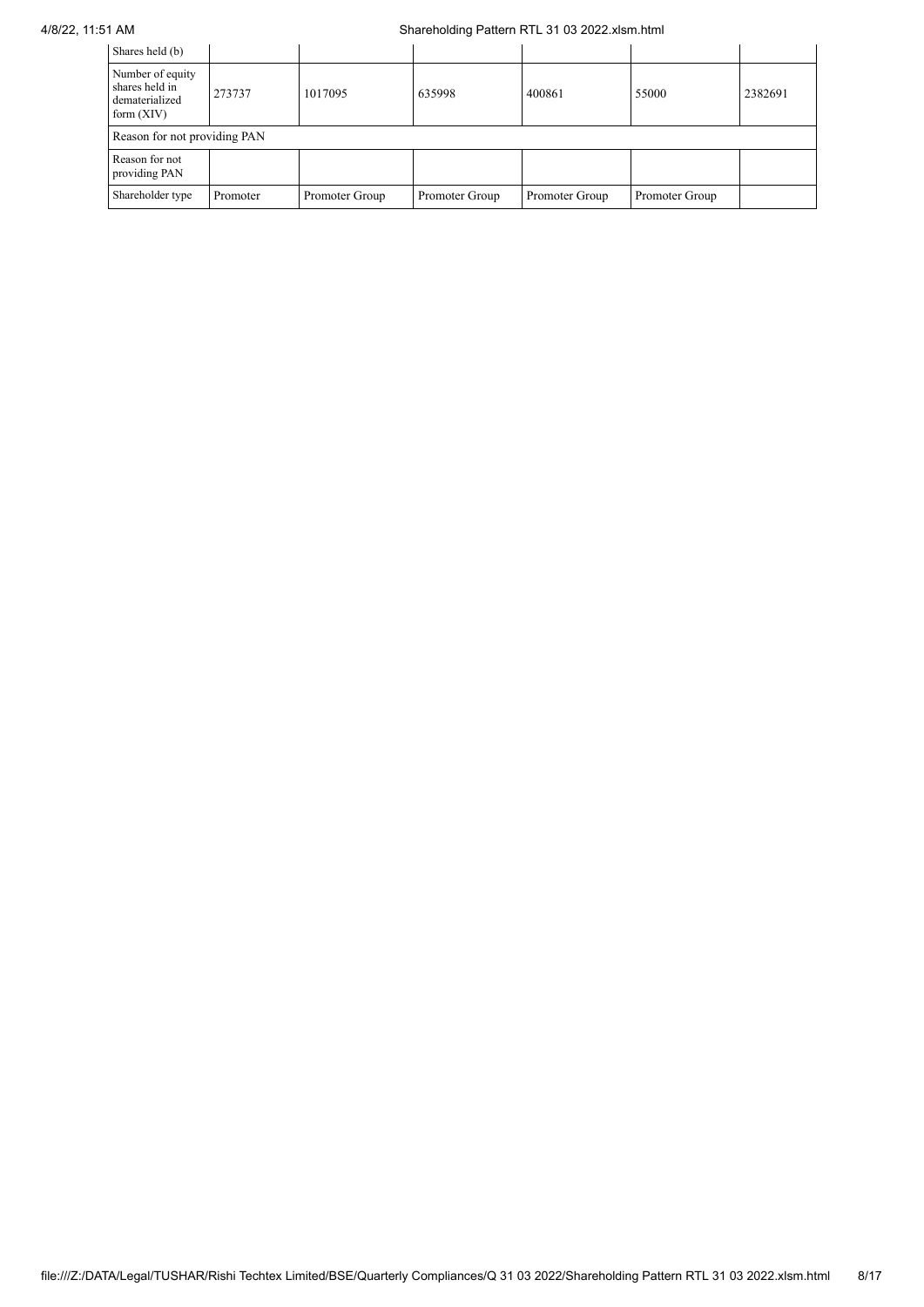## 4/8/22, 11:51 AM Shareholding Pattern RTL 31 03 2022.xlsm.html

| Shares held (b)                                                      |          |                |                |                |                |         |  |  |  |
|----------------------------------------------------------------------|----------|----------------|----------------|----------------|----------------|---------|--|--|--|
| Number of equity<br>shares held in<br>dematerialized<br>form $(XIV)$ | 273737   | 1017095        | 635998         | 400861         | 55000          | 2382691 |  |  |  |
| Reason for not providing PAN                                         |          |                |                |                |                |         |  |  |  |
| Reason for not<br>providing PAN                                      |          |                |                |                |                |         |  |  |  |
| Shareholder type                                                     | Promoter | Promoter Group | Promoter Group | Promoter Group | Promoter Group |         |  |  |  |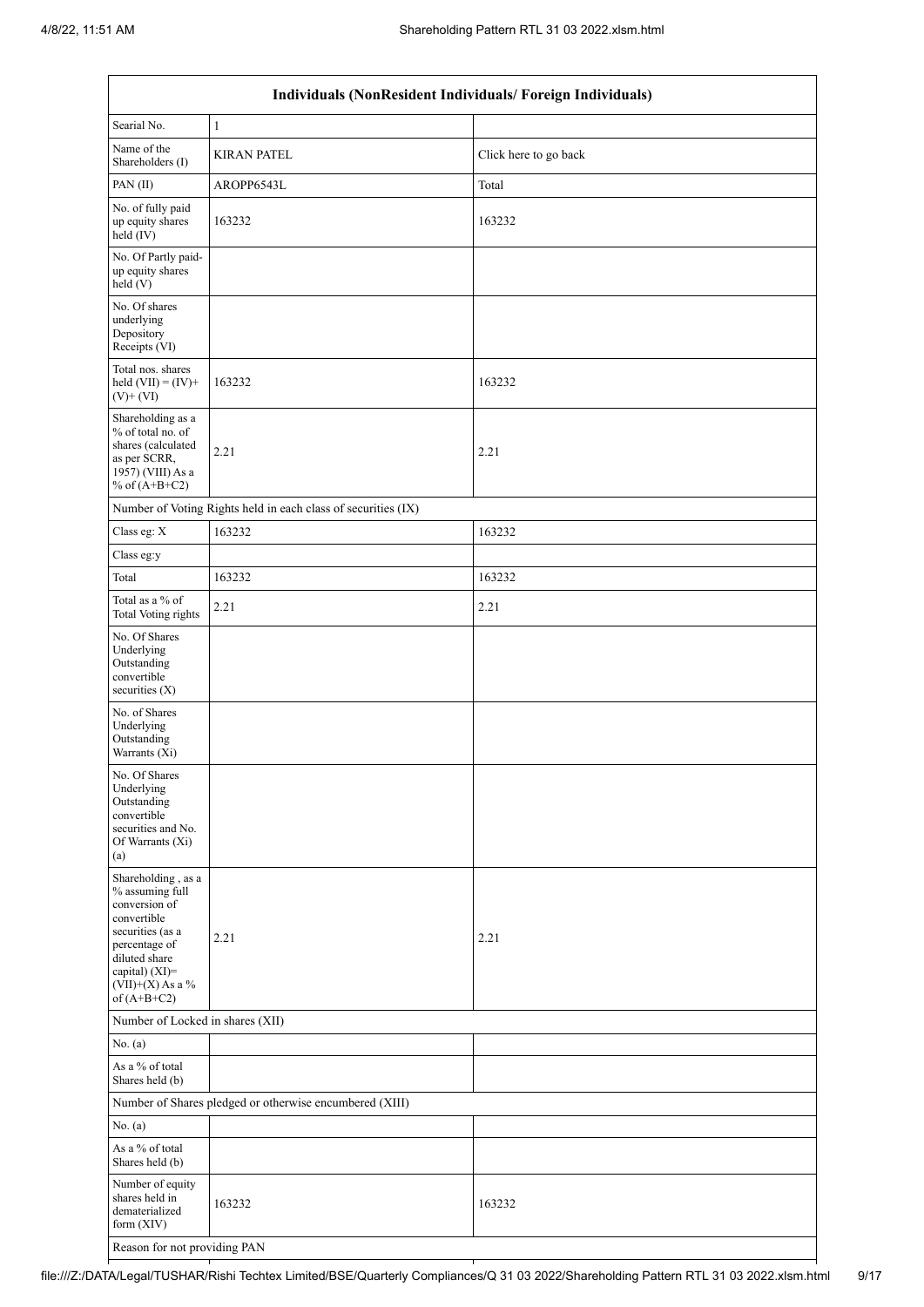| Individuals (NonResident Individuals/ Foreign Individuals)                                                                                                                           |                                                               |                       |  |  |  |  |  |  |
|--------------------------------------------------------------------------------------------------------------------------------------------------------------------------------------|---------------------------------------------------------------|-----------------------|--|--|--|--|--|--|
| Searial No.                                                                                                                                                                          | 1                                                             |                       |  |  |  |  |  |  |
| Name of the<br>Shareholders (I)                                                                                                                                                      | <b>KIRAN PATEL</b>                                            | Click here to go back |  |  |  |  |  |  |
| PAN(II)                                                                                                                                                                              | AROPP6543L                                                    | Total                 |  |  |  |  |  |  |
| No. of fully paid<br>up equity shares<br>held $(IV)$                                                                                                                                 | 163232                                                        | 163232                |  |  |  |  |  |  |
| No. Of Partly paid-<br>up equity shares<br>held (V)                                                                                                                                  |                                                               |                       |  |  |  |  |  |  |
| No. Of shares<br>underlying<br>Depository<br>Receipts (VI)                                                                                                                           |                                                               |                       |  |  |  |  |  |  |
| Total nos. shares<br>held $(VII) = (IV) +$<br>$(V)$ + $(VI)$                                                                                                                         | 163232                                                        | 163232                |  |  |  |  |  |  |
| Shareholding as a<br>% of total no. of<br>shares (calculated<br>as per SCRR,<br>1957) (VIII) As a<br>% of $(A+B+C2)$                                                                 | 2.21                                                          | 2.21                  |  |  |  |  |  |  |
|                                                                                                                                                                                      | Number of Voting Rights held in each class of securities (IX) |                       |  |  |  |  |  |  |
| Class eg: X                                                                                                                                                                          | 163232                                                        | 163232                |  |  |  |  |  |  |
| Class eg:y                                                                                                                                                                           |                                                               |                       |  |  |  |  |  |  |
| Total                                                                                                                                                                                | 163232                                                        | 163232                |  |  |  |  |  |  |
| Total as a % of<br>Total Voting rights                                                                                                                                               | 2.21                                                          | 2.21                  |  |  |  |  |  |  |
| No. Of Shares<br>Underlying<br>Outstanding<br>convertible<br>securities $(X)$                                                                                                        |                                                               |                       |  |  |  |  |  |  |
| No. of Shares<br>Underlying<br>Outstanding<br>Warrants (Xi)                                                                                                                          |                                                               |                       |  |  |  |  |  |  |
| No. Of Shares<br>Underlying<br>Outstanding<br>convertible<br>securities and No.<br>Of Warrants (Xi)<br>(a)                                                                           |                                                               |                       |  |  |  |  |  |  |
| Shareholding, as a<br>% assuming full<br>conversion of<br>convertible<br>securities (as a<br>percentage of<br>diluted share<br>capital) (XI)=<br>$(VII)+(X)$ As a %<br>of $(A+B+C2)$ | 2.21                                                          | 2.21                  |  |  |  |  |  |  |
| Number of Locked in shares (XII)                                                                                                                                                     |                                                               |                       |  |  |  |  |  |  |
| No. (a)                                                                                                                                                                              |                                                               |                       |  |  |  |  |  |  |
| As a % of total<br>Shares held (b)                                                                                                                                                   |                                                               |                       |  |  |  |  |  |  |
|                                                                                                                                                                                      | Number of Shares pledged or otherwise encumbered (XIII)       |                       |  |  |  |  |  |  |
| No. (a)                                                                                                                                                                              |                                                               |                       |  |  |  |  |  |  |
| As a % of total<br>Shares held (b)                                                                                                                                                   |                                                               |                       |  |  |  |  |  |  |
| Number of equity<br>shares held in<br>dematerialized<br>form $(XIV)$                                                                                                                 | 163232                                                        | 163232                |  |  |  |  |  |  |
| Reason for not providing PAN                                                                                                                                                         |                                                               |                       |  |  |  |  |  |  |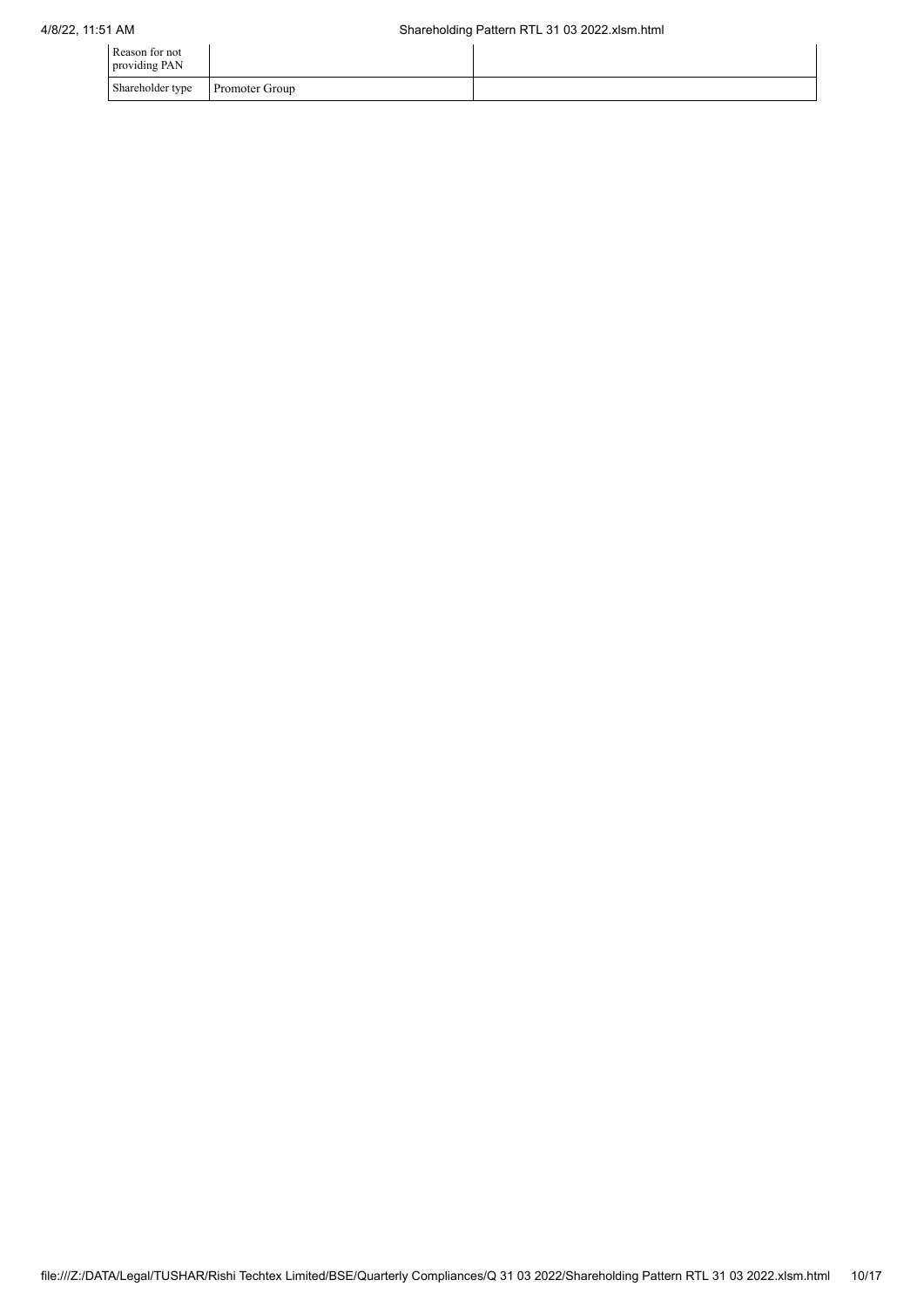| Reason for not<br>providing PAN |                       |  |
|---------------------------------|-----------------------|--|
| Shareholder type                | <b>Promoter Group</b> |  |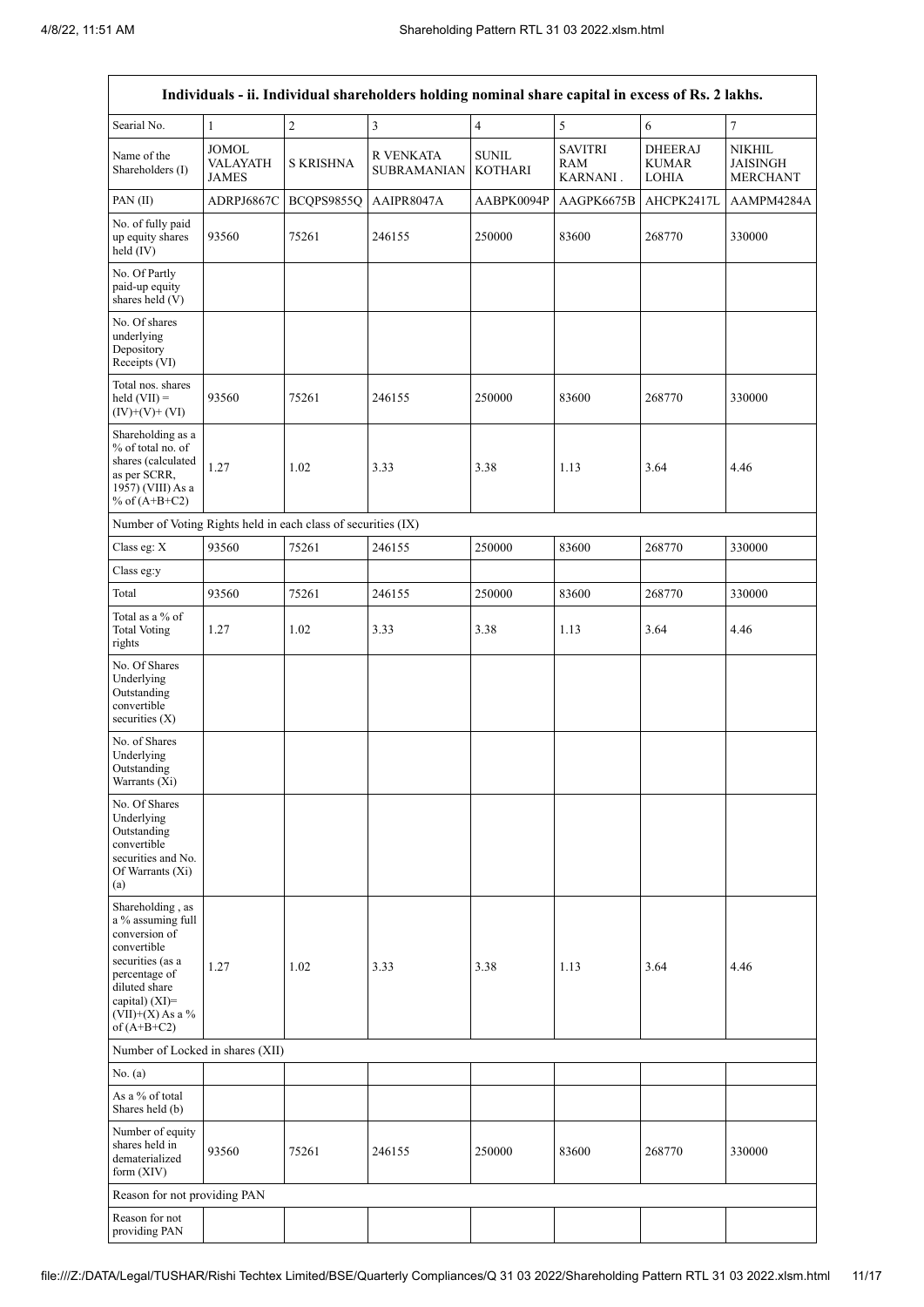| Individuals - ii. Individual shareholders holding nominal share capital in excess of Rs. 2 lakhs.                                                                                    |                                   |                  |                                 |                                |                                   |                                                |                                                     |  |  |
|--------------------------------------------------------------------------------------------------------------------------------------------------------------------------------------|-----------------------------------|------------------|---------------------------------|--------------------------------|-----------------------------------|------------------------------------------------|-----------------------------------------------------|--|--|
| Searial No.                                                                                                                                                                          | $\mathbf{1}$                      | $\overline{2}$   | 3                               | $\overline{4}$                 | 5                                 | $\sqrt{6}$                                     | $\boldsymbol{7}$                                    |  |  |
| Name of the<br>Shareholders (I)                                                                                                                                                      | JOMOL<br>VALAYATH<br><b>JAMES</b> | <b>S KRISHNA</b> | R VENKATA<br><b>SUBRAMANIAN</b> | <b>SUNIL</b><br><b>KOTHARI</b> | <b>SAVITRI</b><br>RAM<br>KARNANI. | <b>DHEERAJ</b><br><b>KUMAR</b><br><b>LOHIA</b> | <b>NIKHIL</b><br><b>JAISINGH</b><br><b>MERCHANT</b> |  |  |
| PAN(II)                                                                                                                                                                              | ADRPJ6867C                        | BCQPS9855Q       | AAIPR8047A                      | AABPK0094P                     | AAGPK6675B                        | AHCPK2417L                                     | AAMPM4284A                                          |  |  |
| No. of fully paid<br>up equity shares<br>held (IV)                                                                                                                                   | 93560                             | 75261            | 246155                          | 250000                         | 83600                             | 268770                                         | 330000                                              |  |  |
| No. Of Partly<br>paid-up equity<br>shares held (V)                                                                                                                                   |                                   |                  |                                 |                                |                                   |                                                |                                                     |  |  |
| No. Of shares<br>underlying<br>Depository<br>Receipts (VI)                                                                                                                           |                                   |                  |                                 |                                |                                   |                                                |                                                     |  |  |
| Total nos. shares<br>held $(VII) =$<br>$(IV)+(V)+(VI)$                                                                                                                               | 93560                             | 75261            | 246155                          | 250000                         | 83600                             | 268770                                         | 330000                                              |  |  |
| Shareholding as a<br>% of total no. of<br>shares (calculated<br>as per SCRR,<br>1957) (VIII) As a<br>% of $(A+B+C2)$                                                                 | 1.27                              | 1.02             | 3.33                            | 3.38                           | 1.13                              | 3.64                                           | 4.46                                                |  |  |
| Number of Voting Rights held in each class of securities (IX)                                                                                                                        |                                   |                  |                                 |                                |                                   |                                                |                                                     |  |  |
| Class eg: X                                                                                                                                                                          | 93560                             | 75261            | 246155                          | 250000                         | 83600                             | 268770                                         | 330000                                              |  |  |
| Class eg:y                                                                                                                                                                           |                                   |                  |                                 |                                |                                   |                                                |                                                     |  |  |
| Total                                                                                                                                                                                | 93560                             | 75261            | 246155                          | 250000                         | 83600                             | 268770                                         | 330000                                              |  |  |
| Total as a % of<br><b>Total Voting</b><br>rights                                                                                                                                     | 1.27                              | 1.02             | 3.33                            | 3.38                           | 1.13                              | 3.64                                           | 4.46                                                |  |  |
| No. Of Shares<br>Underlying<br>Outstanding<br>convertible<br>securities $(X)$                                                                                                        |                                   |                  |                                 |                                |                                   |                                                |                                                     |  |  |
| No. of Shares<br>Underlying<br>Outstanding<br>Warrants (Xi)                                                                                                                          |                                   |                  |                                 |                                |                                   |                                                |                                                     |  |  |
| No. Of Shares<br>Underlying<br>Outstanding<br>convertible<br>securities and No.<br>Of Warrants (Xi)<br>(a)                                                                           |                                   |                  |                                 |                                |                                   |                                                |                                                     |  |  |
| Shareholding, as<br>a % assuming full<br>conversion of<br>convertible<br>securities (as a<br>percentage of<br>diluted share<br>capital) (XI)=<br>$(VII)+(X)$ As a %<br>of $(A+B+C2)$ | 1.27                              | 1.02             | 3.33                            | 3.38                           | 1.13                              | 3.64                                           | 4.46                                                |  |  |
| Number of Locked in shares (XII)                                                                                                                                                     |                                   |                  |                                 |                                |                                   |                                                |                                                     |  |  |
| No. (a)                                                                                                                                                                              |                                   |                  |                                 |                                |                                   |                                                |                                                     |  |  |
| As a % of total<br>Shares held (b)                                                                                                                                                   |                                   |                  |                                 |                                |                                   |                                                |                                                     |  |  |
| Number of equity<br>shares held in<br>dematerialized<br>form $(XIV)$                                                                                                                 | 93560                             | 75261            | 246155                          | 250000                         | 83600                             | 268770                                         | 330000                                              |  |  |
| Reason for not providing PAN                                                                                                                                                         |                                   |                  |                                 |                                |                                   |                                                |                                                     |  |  |
| Reason for not<br>providing PAN                                                                                                                                                      |                                   |                  |                                 |                                |                                   |                                                |                                                     |  |  |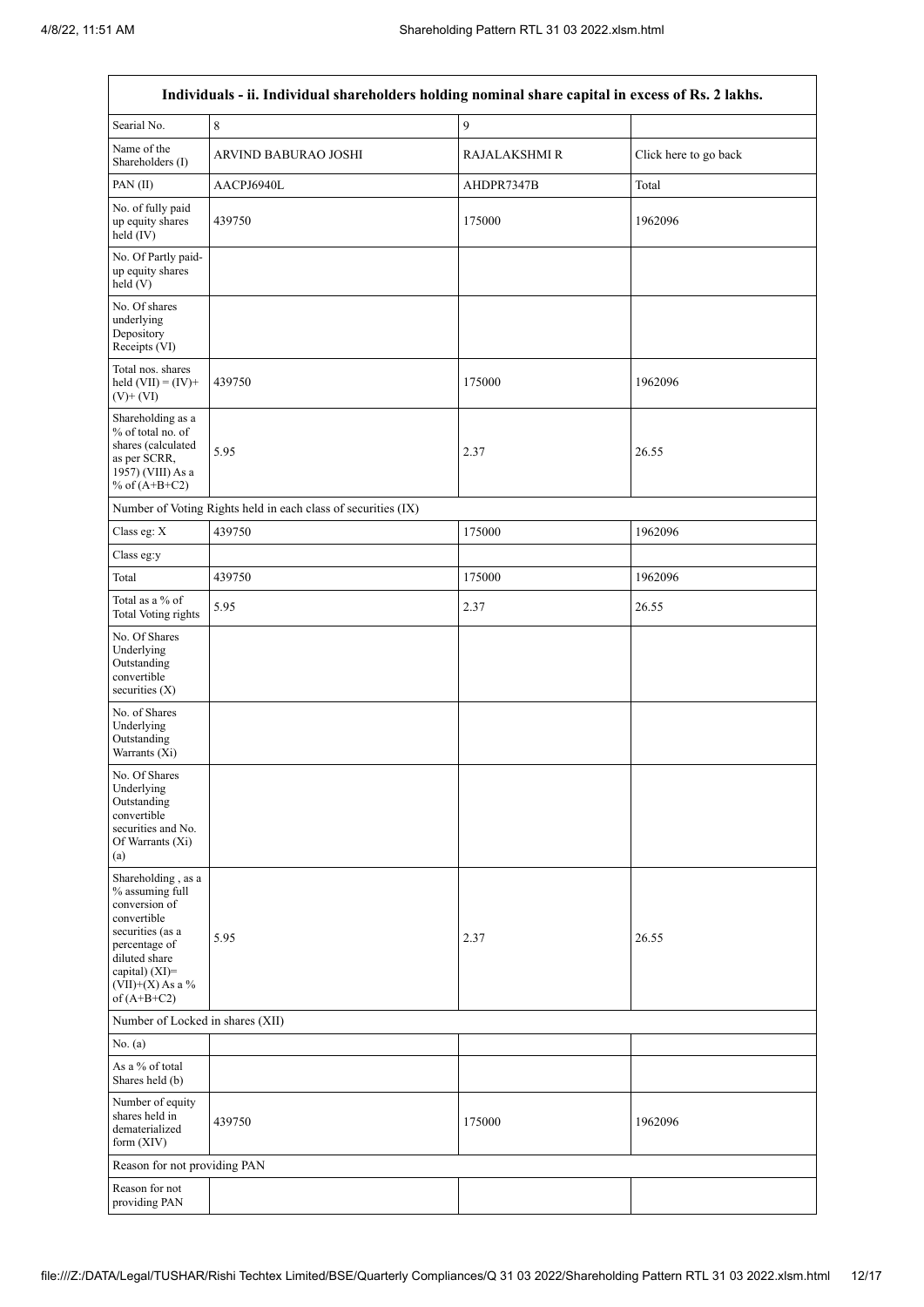$\overline{1}$ 

 $\overline{\mathsf{I}}$ 

| Individuals - ii. Individual shareholders holding nominal share capital in excess of Rs. 2 lakhs.                                                                                    |                                                               |               |                       |  |  |  |  |  |  |
|--------------------------------------------------------------------------------------------------------------------------------------------------------------------------------------|---------------------------------------------------------------|---------------|-----------------------|--|--|--|--|--|--|
| Searial No.                                                                                                                                                                          | 8                                                             | 9             |                       |  |  |  |  |  |  |
| Name of the<br>Shareholders (I)                                                                                                                                                      | ARVIND BABURAO JOSHI                                          | RAJALAKSHMI R | Click here to go back |  |  |  |  |  |  |
| PAN(II)                                                                                                                                                                              | AACPJ6940L                                                    | AHDPR7347B    | Total                 |  |  |  |  |  |  |
| No. of fully paid<br>up equity shares<br>held (IV)                                                                                                                                   | 439750                                                        | 175000        | 1962096               |  |  |  |  |  |  |
| No. Of Partly paid-<br>up equity shares<br>held(V)                                                                                                                                   |                                                               |               |                       |  |  |  |  |  |  |
| No. Of shares<br>underlying<br>Depository<br>Receipts (VI)                                                                                                                           |                                                               |               |                       |  |  |  |  |  |  |
| Total nos. shares<br>held $(VII) = (IV) +$<br>$(V)$ + $(VI)$                                                                                                                         | 439750                                                        | 175000        | 1962096               |  |  |  |  |  |  |
| Shareholding as a<br>% of total no. of<br>shares (calculated<br>as per SCRR,<br>1957) (VIII) As a<br>% of $(A+B+C2)$                                                                 | 5.95                                                          | 2.37          | 26.55                 |  |  |  |  |  |  |
|                                                                                                                                                                                      | Number of Voting Rights held in each class of securities (IX) |               |                       |  |  |  |  |  |  |
| Class eg: X                                                                                                                                                                          | 439750                                                        | 175000        | 1962096               |  |  |  |  |  |  |
| Class eg:y                                                                                                                                                                           |                                                               |               |                       |  |  |  |  |  |  |
| Total                                                                                                                                                                                | 439750                                                        | 175000        | 1962096               |  |  |  |  |  |  |
| Total as a % of<br><b>Total Voting rights</b>                                                                                                                                        | 5.95                                                          | 2.37          | 26.55                 |  |  |  |  |  |  |
| No. Of Shares<br>Underlying<br>Outstanding<br>convertible<br>securities (X)                                                                                                          |                                                               |               |                       |  |  |  |  |  |  |
| No. of Shares<br>Underlying<br>Outstanding<br>Warrants $(X_i)$                                                                                                                       |                                                               |               |                       |  |  |  |  |  |  |
| No. Of Shares<br>Underlying<br>Outstanding<br>convertible<br>securities and No.<br>Of Warrants (Xi)<br>(a)                                                                           |                                                               |               |                       |  |  |  |  |  |  |
| Shareholding, as a<br>% assuming full<br>conversion of<br>convertible<br>securities (as a<br>percentage of<br>diluted share<br>capital) (XI)=<br>$(VII)+(X)$ As a %<br>of $(A+B+C2)$ | 5.95                                                          | 2.37          | 26.55                 |  |  |  |  |  |  |
| Number of Locked in shares (XII)                                                                                                                                                     |                                                               |               |                       |  |  |  |  |  |  |
| No. (a)                                                                                                                                                                              |                                                               |               |                       |  |  |  |  |  |  |
| As a % of total<br>Shares held (b)                                                                                                                                                   |                                                               |               |                       |  |  |  |  |  |  |
| Number of equity<br>shares held in<br>dematerialized<br>form (XIV)                                                                                                                   | 439750                                                        | 175000        | 1962096               |  |  |  |  |  |  |
| Reason for not providing PAN                                                                                                                                                         |                                                               |               |                       |  |  |  |  |  |  |
| Reason for not<br>providing PAN                                                                                                                                                      |                                                               |               |                       |  |  |  |  |  |  |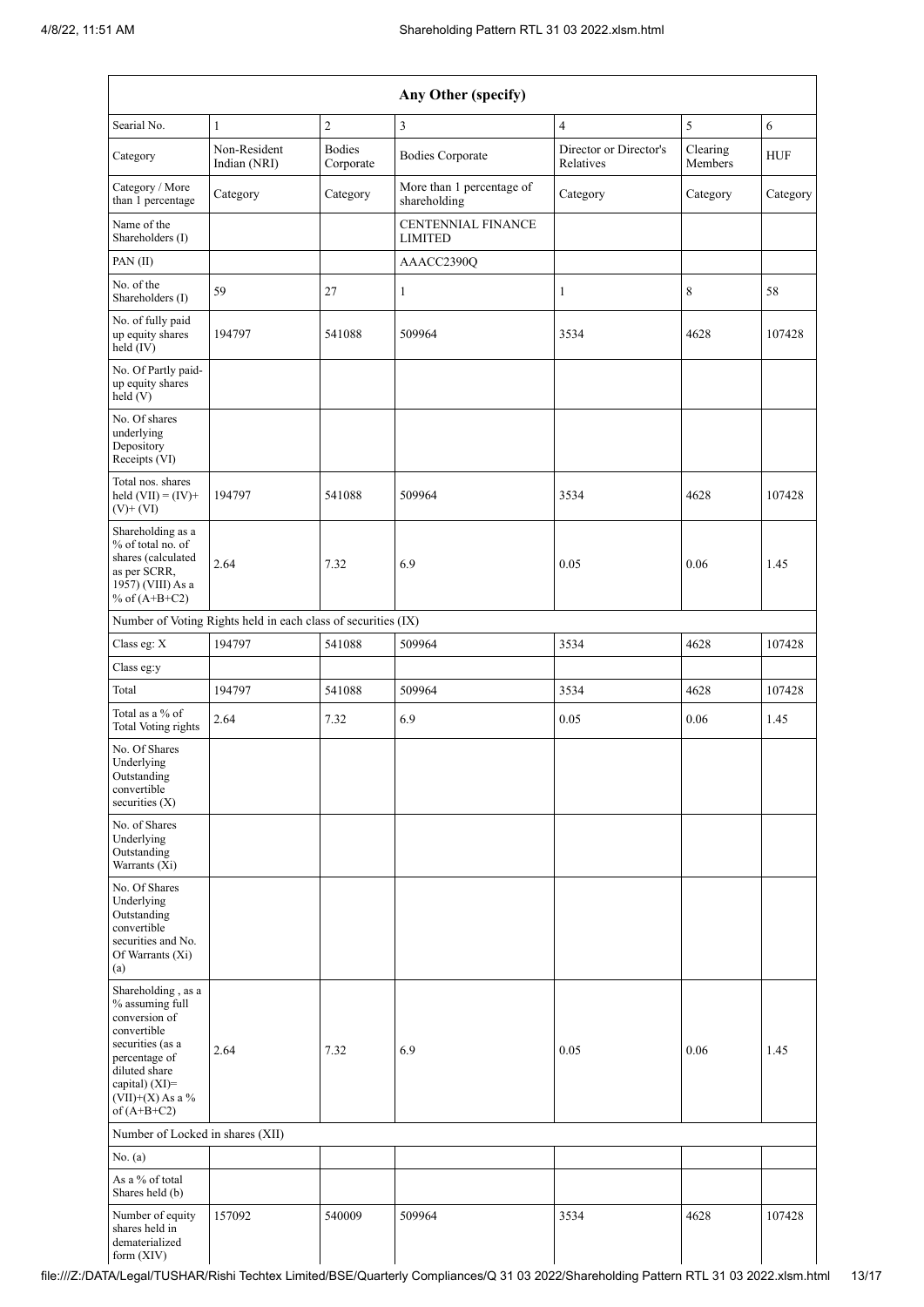form (XIV)

 $\mathbf{I}$ 

 $\mathbf{I}$ 

| Any Other (specify)                                                                                                                                                                  |                                                               |                            |                                             |                                     |                     |            |  |
|--------------------------------------------------------------------------------------------------------------------------------------------------------------------------------------|---------------------------------------------------------------|----------------------------|---------------------------------------------|-------------------------------------|---------------------|------------|--|
| Searial No.                                                                                                                                                                          | $\mathbf{1}$                                                  | $\overline{2}$             | $\overline{3}$                              | $\overline{4}$                      | 5                   | 6          |  |
| Category                                                                                                                                                                             | Non-Resident<br>Indian (NRI)                                  | <b>Bodies</b><br>Corporate | <b>Bodies Corporate</b>                     | Director or Director's<br>Relatives | Clearing<br>Members | <b>HUF</b> |  |
| Category / More<br>than 1 percentage                                                                                                                                                 | Category                                                      | Category                   | More than 1 percentage of<br>shareholding   | Category                            | Category            | Category   |  |
| Name of the<br>Shareholders (I)                                                                                                                                                      |                                                               |                            | <b>CENTENNIAL FINANCE</b><br><b>LIMITED</b> |                                     |                     |            |  |
| PAN(II)                                                                                                                                                                              |                                                               |                            | AAACC2390Q                                  |                                     |                     |            |  |
| No. of the<br>Shareholders (I)                                                                                                                                                       | 59                                                            | 27                         | $\mathbf{1}$                                | $\mathbf{1}$                        | 8                   | 58         |  |
| No. of fully paid<br>up equity shares<br>$\text{held}(\text{IV})$                                                                                                                    | 194797                                                        | 541088                     | 509964                                      | 3534                                | 4628                | 107428     |  |
| No. Of Partly paid-<br>up equity shares<br>held (V)                                                                                                                                  |                                                               |                            |                                             |                                     |                     |            |  |
| No. Of shares<br>underlying<br>Depository<br>Receipts (VI)                                                                                                                           |                                                               |                            |                                             |                                     |                     |            |  |
| Total nos. shares<br>held $(VII) = (IV) +$<br>$(V)$ + $(VI)$                                                                                                                         | 194797                                                        | 541088                     | 509964                                      | 3534                                | 4628                | 107428     |  |
| Shareholding as a<br>% of total no. of<br>shares (calculated<br>as per SCRR,<br>1957) (VIII) As a<br>% of $(A+B+C2)$                                                                 | 2.64                                                          | 7.32                       | 6.9                                         | 0.05                                | 0.06                | 1.45       |  |
|                                                                                                                                                                                      | Number of Voting Rights held in each class of securities (IX) |                            |                                             |                                     |                     |            |  |
| Class eg: X                                                                                                                                                                          | 194797                                                        | 541088                     | 509964                                      | 3534                                | 4628                | 107428     |  |
| Class eg:y                                                                                                                                                                           |                                                               |                            |                                             |                                     |                     |            |  |
| Total                                                                                                                                                                                | 194797                                                        | 541088                     | 509964                                      | 3534                                | 4628                | 107428     |  |
| Total as a % of<br><b>Total Voting rights</b>                                                                                                                                        | 2.64                                                          | 7.32                       | 6.9                                         | 0.05                                | 0.06                | 1.45       |  |
| No. Of Shares<br>Underlying<br>Outstanding<br>convertible<br>securities (X)                                                                                                          |                                                               |                            |                                             |                                     |                     |            |  |
| No. of Shares<br>Underlying<br>Outstanding<br>Warrants (Xi)                                                                                                                          |                                                               |                            |                                             |                                     |                     |            |  |
| No. Of Shares<br>Underlying<br>Outstanding<br>convertible<br>securities and No.<br>Of Warrants (Xi)<br>(a)                                                                           |                                                               |                            |                                             |                                     |                     |            |  |
| Shareholding, as a<br>% assuming full<br>conversion of<br>convertible<br>securities (as a<br>percentage of<br>diluted share<br>capital) (XI)=<br>$(VII)+(X)$ As a %<br>of $(A+B+C2)$ | 2.64                                                          | 7.32                       | 6.9                                         | 0.05                                | 0.06                | 1.45       |  |
| Number of Locked in shares (XII)                                                                                                                                                     |                                                               |                            |                                             |                                     |                     |            |  |
| No. (a)                                                                                                                                                                              |                                                               |                            |                                             |                                     |                     |            |  |
| As a % of total<br>Shares held (b)                                                                                                                                                   |                                                               |                            |                                             |                                     |                     |            |  |
| Number of equity<br>shares held in<br>dematerialized                                                                                                                                 | 157092                                                        | 540009                     | 509964                                      | 3534                                | 4628                | 107428     |  |

 $\mathsf{l}$ 

 $\mathsf{l}$ 

 $\mathbf{I}$ 

 $\mathbf{I}$ 

 $\mathbf{I}$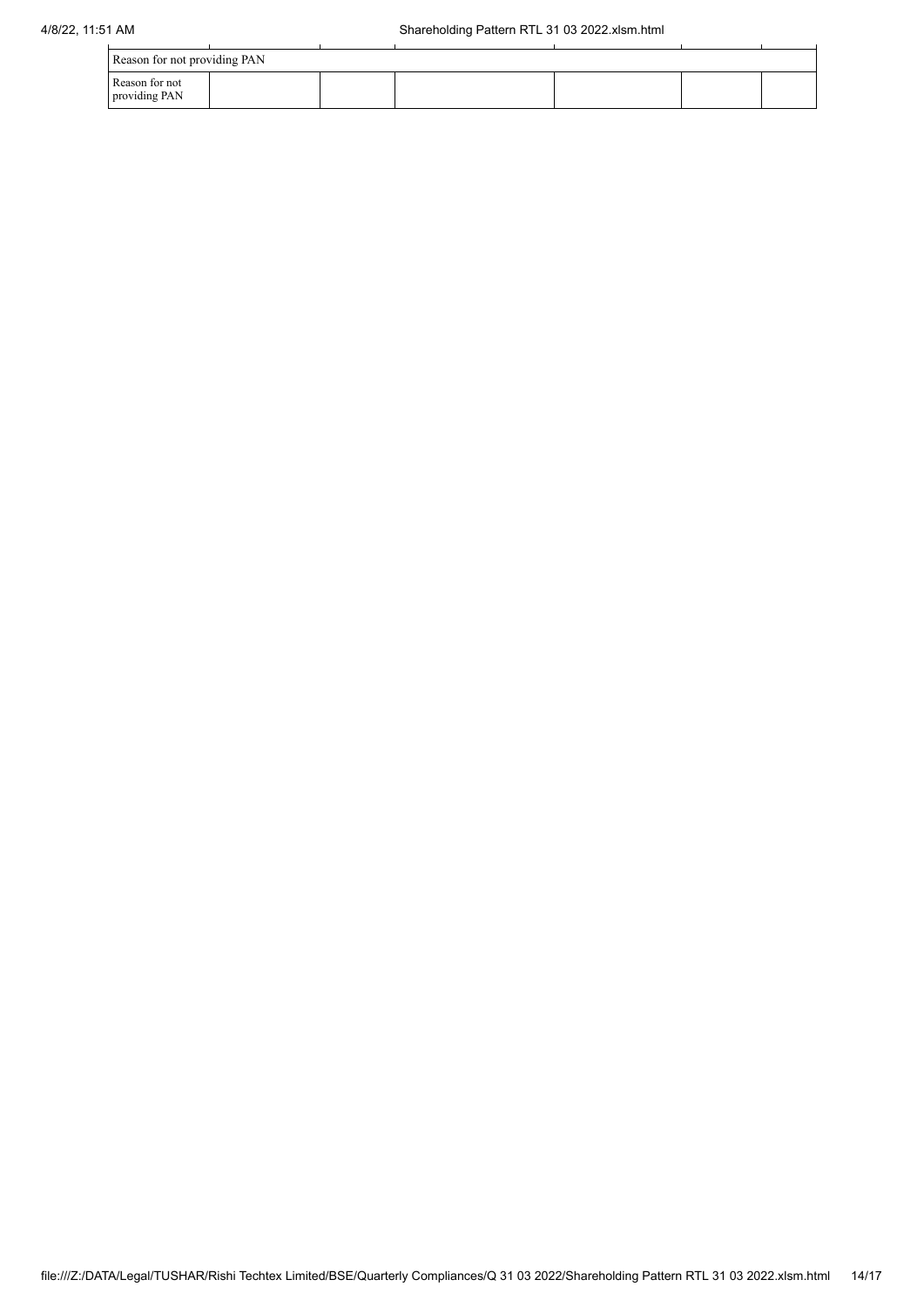| Reason for not providing PAN    |  |  |  |  |  |  |  |  |
|---------------------------------|--|--|--|--|--|--|--|--|
| Reason for not<br>providing PAN |  |  |  |  |  |  |  |  |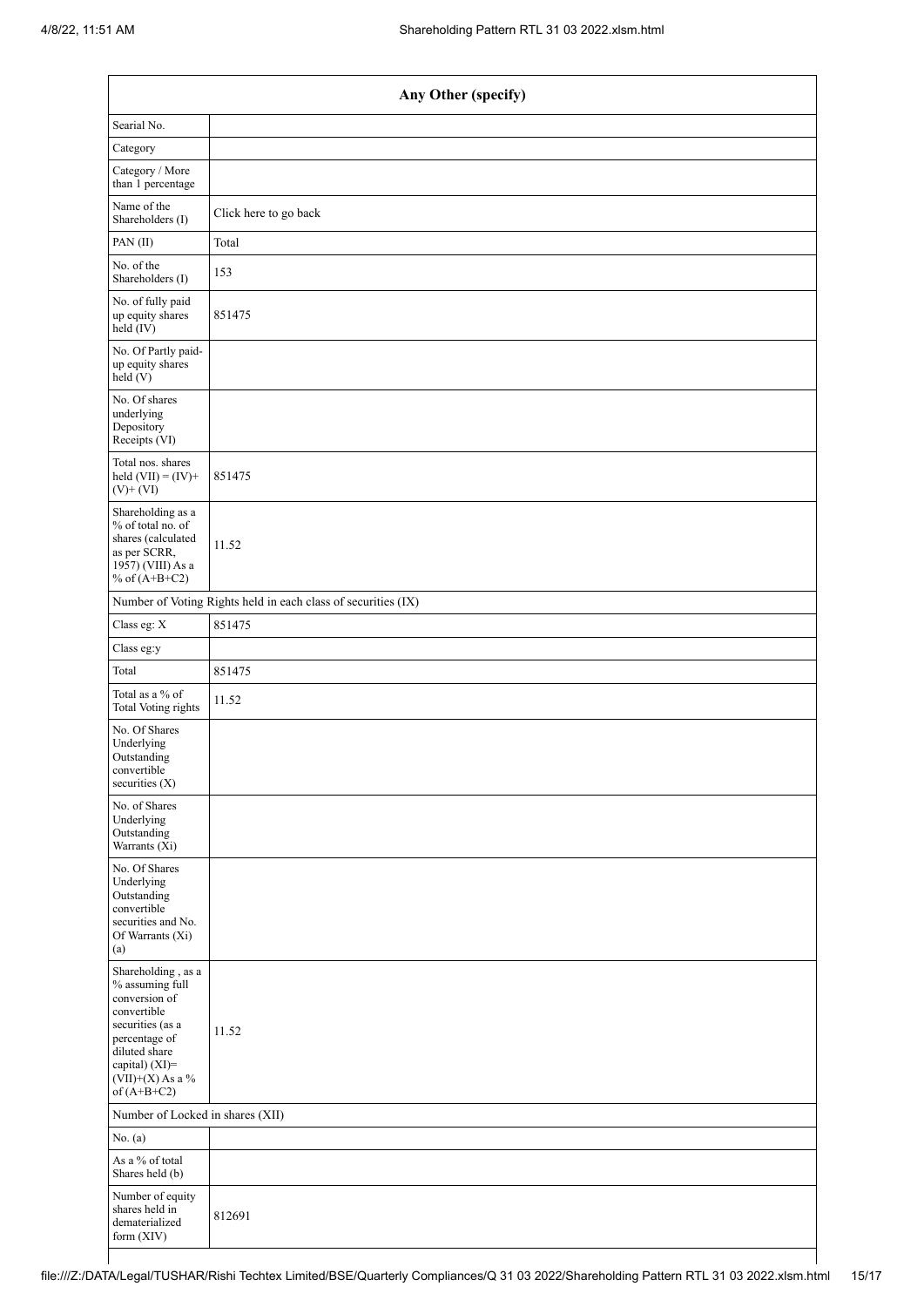| Any Other (specify)                                                                                                                                                                  |                                                               |  |  |  |  |  |
|--------------------------------------------------------------------------------------------------------------------------------------------------------------------------------------|---------------------------------------------------------------|--|--|--|--|--|
| Searial No.                                                                                                                                                                          |                                                               |  |  |  |  |  |
| Category                                                                                                                                                                             |                                                               |  |  |  |  |  |
| Category / More<br>than 1 percentage                                                                                                                                                 |                                                               |  |  |  |  |  |
| Name of the<br>Shareholders (I)                                                                                                                                                      | Click here to go back                                         |  |  |  |  |  |
| PAN(II)                                                                                                                                                                              | Total                                                         |  |  |  |  |  |
| No. of the<br>Shareholders (I)                                                                                                                                                       | 153                                                           |  |  |  |  |  |
| No. of fully paid<br>up equity shares<br>held (IV)                                                                                                                                   | 851475                                                        |  |  |  |  |  |
| No. Of Partly paid-<br>up equity shares<br>$\text{held} (V)$                                                                                                                         |                                                               |  |  |  |  |  |
| No. Of shares<br>underlying<br>Depository<br>Receipts (VI)                                                                                                                           |                                                               |  |  |  |  |  |
| Total nos. shares<br>held $(VII) = (IV) +$<br>$(V)$ + $(VI)$                                                                                                                         | 851475                                                        |  |  |  |  |  |
| Shareholding as a<br>% of total no. of<br>shares (calculated<br>as per SCRR,<br>$19\bar{5}7$ ) (VIII) As a<br>% of $(A+B+C2)$                                                        | 11.52                                                         |  |  |  |  |  |
|                                                                                                                                                                                      | Number of Voting Rights held in each class of securities (IX) |  |  |  |  |  |
| Class eg: $\mathbf X$                                                                                                                                                                | 851475                                                        |  |  |  |  |  |
| Class eg:y                                                                                                                                                                           |                                                               |  |  |  |  |  |
| Total                                                                                                                                                                                | 851475                                                        |  |  |  |  |  |
| Total as a % of<br><b>Total Voting rights</b>                                                                                                                                        | 11.52                                                         |  |  |  |  |  |
| No. Of Shares<br>Underlying<br>Outstanding<br>convertible<br>securities (X)                                                                                                          |                                                               |  |  |  |  |  |
| No. of Shares<br>Underlying<br>Outstanding<br>Warrants (Xi)                                                                                                                          |                                                               |  |  |  |  |  |
| No. Of Shares<br>Underlying<br>Outstanding<br>convertible<br>securities and No.<br>Of Warrants (Xi)<br>(a)                                                                           |                                                               |  |  |  |  |  |
| Shareholding, as a<br>% assuming full<br>conversion of<br>convertible<br>securities (as a<br>percentage of<br>diluted share<br>capital) (XI)=<br>$(VII)+(X)$ As a %<br>of $(A+B+C2)$ | 11.52                                                         |  |  |  |  |  |
|                                                                                                                                                                                      | Number of Locked in shares (XII)                              |  |  |  |  |  |
| No. $(a)$                                                                                                                                                                            |                                                               |  |  |  |  |  |
| As a $\%$ of total<br>Shares held (b)                                                                                                                                                |                                                               |  |  |  |  |  |
| Number of equity<br>shares held in<br>dematerialized<br>form (XIV)                                                                                                                   | 812691                                                        |  |  |  |  |  |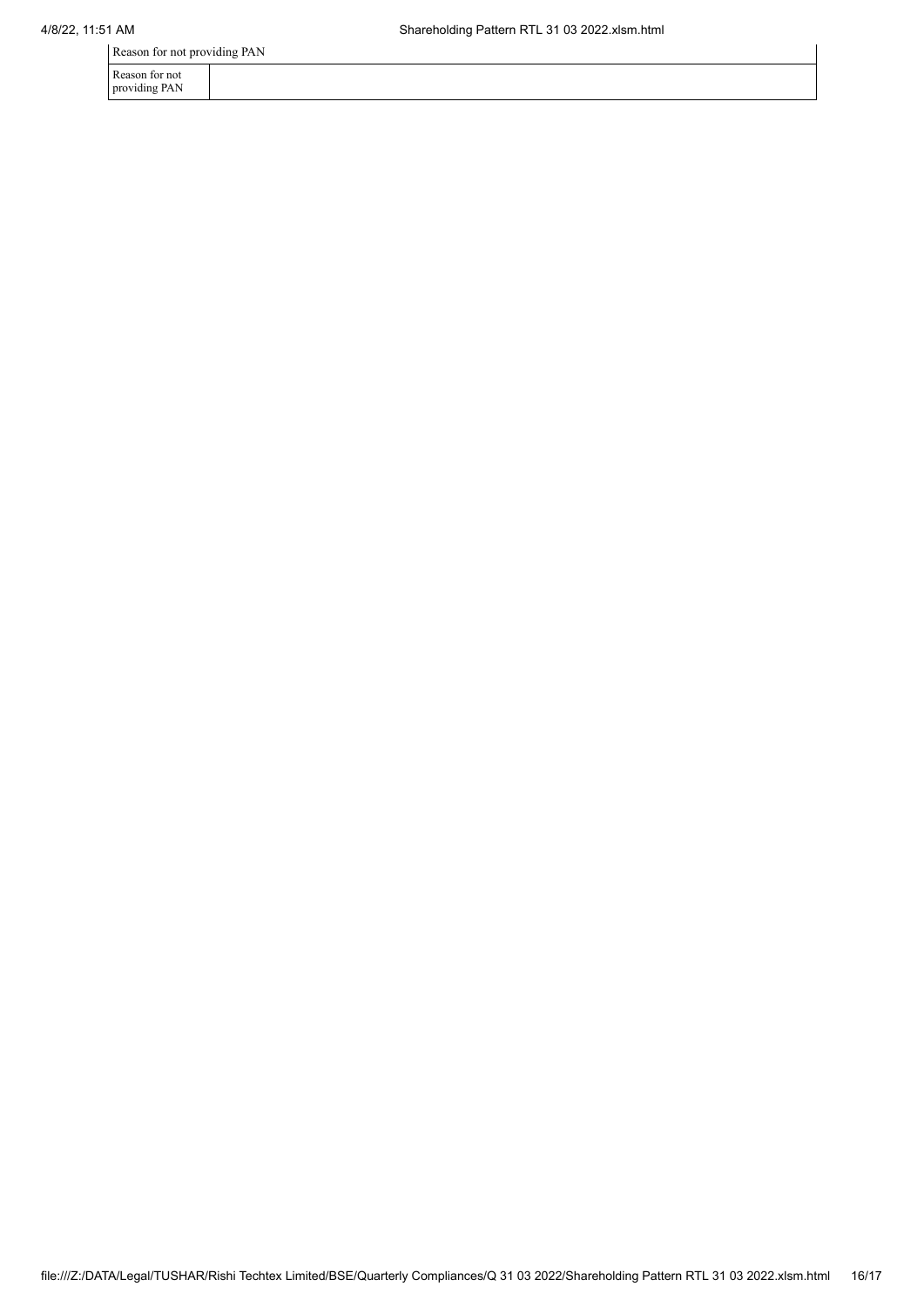Reason for not providing PAN